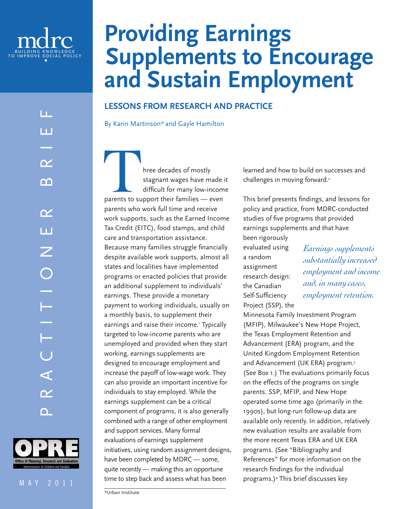



# **Providing Earnings Supplements to Encourage and Sustain Employment**

# **Lessons from Research and Practice**

By Karin Martinson\* and Gayle Hamilton

Free decades of mostly<br>
stagnant wages have made if<br>
difficult for many low-incom<br>
parents to support their families — even stagnant wages have made it difficult for many low-income parents who work full time and receive work supports, such as the Earned Income Tax Credit (EITC), food stamps, and child care and transportation assistance. Because many families struggle financially despite available work supports, almost all states and localities have implemented programs or enacted policies that provide an additional supplement to individuals' earnings. These provide a monetary payment to working individuals, usually on a monthly basis, to supplement their earnings and raise their income.' Typically targeted to low-income parents who are unemployed and provided when they start working, earnings supplements are designed to encourage employment and increase the payoff of low-wage work. They can also provide an important incentive for individuals to stay employed. While the earnings supplement can be a critical component of programs, it is also generally combined with a range of other employment and support services. Many formal evaluations of earnings supplement initiatives, using random assignment designs, have been completed by MDRC — some, quite recently — making this an opportune time to step back and assess what has been

learned and how to build on successes and challenges in moving forward.<sup>2</sup>

This brief presents findings, and lessons for policy and practice, from MDRC-conducted studies of five programs that provided earnings supplements and that have

been rigorously evaluated using a random assignment research design: the Canadian Self-Sufficiency Project (SSP), the

*Earnings supplements substantially increased employment and income and, in many cases, employment retention.*

Minnesota Family Investment Program (MFIP), Milwaukee's New Hope Project, the Texas Employment Retention and Advancement (ERA) program, and the United Kingdom Employment Retention and Advancement (UK ERA) program.3 (See Box 1.) The evaluations primarily focus on the effects of the programs on single parents. SSP, MFIP, and New Hope operated some time ago (primarily in the 1990s), but long-run follow-up data are available only recently. In addition, relatively new evaluation results are available from the more recent Texas ERA and UK ERA programs. (See "Bibliography and References" for more information on the research findings for the individual programs.)4 This brief discusses key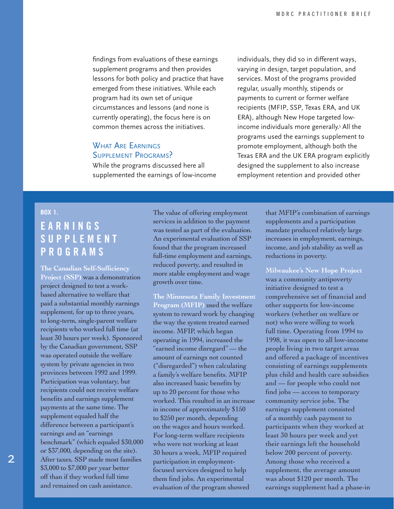findings from evaluations of these earnings supplement programs and then provides lessons for both policy and practice that have emerged from these initiatives. While each program had its own set of unique circumstances and lessons (and none is currently operating), the focus here is on common themes across the initiatives.

# WHAT ARE EARNINGS Supplement Programs?

While the programs discussed here all supplemented the earnings of low-income

individuals, they did so in different ways, varying in design, target population, and services. Most of the programs provided regular, usually monthly, stipends or payments to current or former welfare recipients (MFIP, SSP, Texas ERA, and UK ERA), although New Hope targeted lowincome individuals more generally.5 All the programs used the earnings supplement to promote employment, although both the Texas ERA and the UK ERA program explicitly designed the supplement to also increase employment retention and provided other

#### **box 1.**

# **E a r n i n g s S u p p l e m e n t P rograms**

**The Canadian Self-Sufficiency Project (SSP)** was a demonstration project designed to test a workbased alternative to welfare that paid a substantial monthly earnings supplement, for up to three years, to long-term, single-parent welfare recipients who worked full time (at least 30 hours per week). Sponsored by the Canadian government, SSP was operated outside the welfare system by private agencies in two provinces between 1992 and 1999. Participation was voluntary, but recipients could not receive welfare benefits and earnings supplement payments at the same time. The supplement equaled half the difference between a participant's earnings and an "earnings benchmark" (which equaled \$30,000 or \$37,000, depending on the site). After taxes, SSP made most families \$3,000 to \$7,000 per year better off than if they worked full time and remained on cash assistance.

The value of offering employment services in addition to the payment was tested as part of the evaluation. An experimental evaluation of SSP found that the program increased full-time employment and earnings, reduced poverty, and resulted in more stable employment and wage growth over time.

**The Minnesota Family Investment Program (MFIP)** used the welfare system to reward work by changing the way the system treated earned income. MFIP, which began operating in 1994, increased the "earned income disregard" — the amount of earnings not counted ("disregarded") when calculating a family's welfare benefits. MFIP also increased basic benefits by up to 20 percent for those who worked. This resulted in an increase in income of approximately \$150 to \$250 per month, depending on the wages and hours worked. For long-term welfare recipients who were not working at least 30 hours a week, MFIP required participation in employmentfocused services designed to help them find jobs. An experimental evaluation of the program showed

that MFIP's combination of earnings supplements and a participation mandate produced relatively large increases in employment, earnings, income, and job stability as well as reductions in poverty.

**Milwaukee's New Hope Project** was a community antipoverty initiative designed to test a comprehensive set of financial and other supports for low-income workers (whether on welfare or not) who were willing to work full time. Operating from 1994 to 1998, it was open to all low-income people living in two target areas and offered a package of incentives consisting of earnings supplements plus child and health care subsidies and –– for people who could not find jobs –– access to temporary community service jobs. The earnings supplement consisted of a monthly cash payment to participants when they worked at least 30 hours per week and yet their earnings left the household below 200 percent of poverty. Among those who received a supplement, the average amount was about \$120 per month. The earnings supplement had a phase-in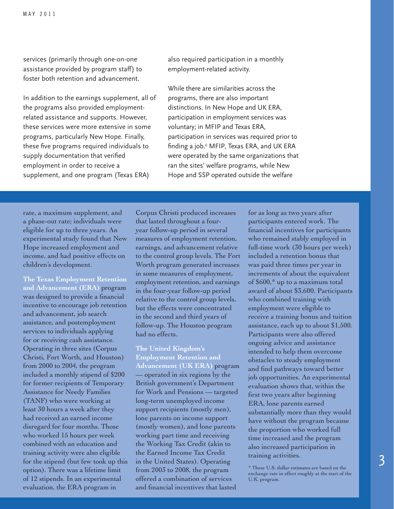services (primarily through one-on-one assistance provided by program staff) to foster both retention and advancement.

In addition to the earnings supplement, all of the programs also provided employmentrelated assistance and supports. However, these services were more extensive in some programs, particularly New Hope. Finally, these five programs required individuals to supply documentation that verified employment in order to receive a supplement, and one program (Texas ERA)

also required participation in a monthly employment-related activity.

While there are similarities across the programs, there are also important distinctions. In New Hope and UK ERA, participation in employment services was voluntary; in MFIP and Texas ERA, participation in services was required prior to finding a job.6 MFIP, Texas ERA, and UK ERA were operated by the same organizations that ran the sites' welfare programs, while New Hope and SSP operated outside the welfare

rate, a maximum supplement, and a phase-out rate; individuals were eligible for up to three years. An experimental study found that New Hope increased employment and income, and had positive effects on children's development.

**The Texas Employment Retention and Advancement (ERA)** program was designed to provide a financial incentive to encourage job retention and advancement, job search assistance, and postemployment services to individuals applying for or receiving cash assistance. Operating in three sites (Corpus Christi, Fort Worth, and Houston) from 2000 to 2004, the program included a monthly stipend of \$200 for former recipients of Temporary Assistance for Needy Families (TANF) who were working at least 30 hours a week after they had received an earned income disregard for four months. Those who worked 15 hours per week combined with an education and training activity were also eligible for the stipend (but few took up this option). There was a lifetime limit of 12 stipends. In an experimental evaluation, the ERA program in

Corpus Christi produced increases that lasted throughout a fouryear follow-up period in several measures of employment retention, earnings, and advancement relative to the control group levels. The Fort Worth program generated increases in some measures of employment, employment retention, and earnings in the four-year follow-up period relative to the control group levels, but the effects were concentrated in the second and third years of follow-up. The Houston program had no effects.

**The United Kingdom's Employment Retention and Advancement (UK ERA)** program operated in six regions by the British government's Department for Work and Pensions — targeted long-term unemployed income support recipients (mostly men), lone parents on income support (mostly women), and lone parents working part time and receiving the Working Tax Credit (akin to the Earned Income Tax Credit in the United States). Operating from 2003 to 2008, the program offered a combination of services and financial incentives that lasted

for as long as two years after participants entered work. The financial incentives for participants who remained stably employed in full-time work (30 hours per week) included a retention bonus that was paid three times per year in increments of about the equivalent of \$600,\* up to a maximum total award of about \$3,600. Participants who combined training with employment were eligible to receive a training bonus and tuition assistance, each up to about \$1,500. Participants were also offered ongoing advice and assistance intended to help them overcome obstacles to steady employment and find pathways toward better job opportunities. An experimental evaluation shows that, within the first two years after beginning ERA, lone parents earned substantially more than they would have without the program because the proportion who worked full time increased and the program also increased participation in training activities.

\* These U.S. dollar estimates are based on the exchange rate in effect roughly at the start of the U.K. program.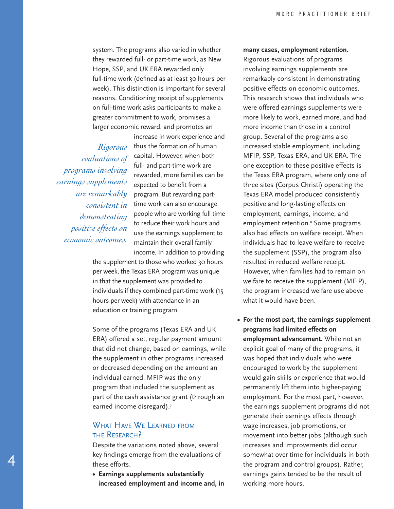system. The programs also varied in whether they rewarded full- or part-time work, as New Hope, SSP, and UK ERA rewarded only full-time work (defined as at least 30 hours per week). This distinction is important for several reasons. Conditioning receipt of supplements on full-time work asks participants to make a greater commitment to work, promises a larger economic reward, and promotes an

*Rigorous programs involving earnings supplements are remarkably demonstrating positive effects on economic outcomes.*

4

increase in work experience and thus the formation of human capital. However, when both *evaluations of*  full- and part-time work are rewarded, more families can be expected to benefit from a program. But rewarding part- $\emph{consideration}$  time work can also encourage people who are working full time to reduce their work hours and use the earnings supplement to maintain their overall family income. In addition to providing

the supplement to those who worked 30 hours per week, the Texas ERA program was unique in that the supplement was provided to individuals if they combined part-time work (15 hours per week) with attendance in an education or training program.

Some of the programs (Texas ERA and UK ERA) offered a set, regular payment amount that did not change, based on earnings, while the supplement in other programs increased or decreased depending on the amount an individual earned. MFIP was the only program that included the supplement as part of the cash assistance grant (through an earned income disregard).<sup>7</sup>

## WHAT HAVE WE LEARNED FROM the Research?

Despite the variations noted above, several key findings emerge from the evaluations of these efforts.

**• Earnings supplements substantially increased employment and income and, in** 

#### **many cases, employment retention.**

Rigorous evaluations of programs involving earnings supplements are remarkably consistent in demonstrating positive effects on economic outcomes. This research shows that individuals who were offered earnings supplements were more likely to work, earned more, and had more income than those in a control group. Several of the programs also increased stable employment, including MFIP, SSP, Texas ERA, and UK ERA. The one exception to these positive effects is the Texas ERA program, where only one of three sites (Corpus Christi) operating the Texas ERA model produced consistently positive and long-lasting effects on employment, earnings, income, and employment retention.<sup>8</sup> Some programs also had effects on welfare receipt. When individuals had to leave welfare to receive the supplement (SSP), the program also resulted in reduced welfare receipt. However, when families had to remain on welfare to receive the supplement (MFIP), the program increased welfare use above what it would have been.

**• For the most part, the earnings supplement programs had limited effects on employment advancement.** While not an explicit goal of many of the programs, it was hoped that individuals who were encouraged to work by the supplement would gain skills or experience that would permanently lift them into higher-paying employment. For the most part, however, the earnings supplement programs did not generate their earnings effects through wage increases, job promotions, or movement into better jobs (although such increases and improvements did occur somewhat over time for individuals in both the program and control groups). Rather, earnings gains tended to be the result of working more hours.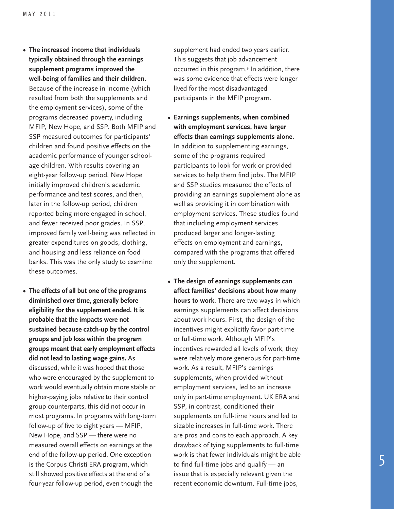- **• The increased income that individuals typically obtained through the earnings supplement programs improved the well-being of families and their children.** Because of the increase in income (which resulted from both the supplements and the employment services), some of the programs decreased poverty, including MFIP, New Hope, and SSP. Both MFIP and SSP measured outcomes for participants' children and found positive effects on the academic performance of younger schoolage children. With results covering an eight-year follow-up period, New Hope initially improved children's academic performance and test scores, and then, later in the follow-up period, children reported being more engaged in school, and fewer received poor grades. In SSP, improved family well-being was reflected in greater expenditures on goods, clothing, and housing and less reliance on food banks. This was the only study to examine these outcomes.
- **• The effects of all but one of the programs diminished over time, generally before eligibility for the supplement ended. It is probable that the impacts were not sustained because catch-up by the control groups and job loss within the program groups meant that early employment effects did not lead to lasting wage gains.** As discussed, while it was hoped that those who were encouraged by the supplement to work would eventually obtain more stable or higher-paying jobs relative to their control group counterparts, this did not occur in most programs. In programs with long-term follow-up of five to eight years — MFIP, New Hope, and SSP — there were no measured overall effects on earnings at the end of the follow-up period. One exception is the Corpus Christi ERA program, which still showed positive effects at the end of a four-year follow-up period, even though the

supplement had ended two years earlier. This suggests that job advancement occurred in this program.9 In addition, there was some evidence that effects were longer lived for the most disadvantaged participants in the MFIP program.

- **Earnings supplements, when combined with employment services, have larger effects than earnings supplements alone.**  In addition to supplementing earnings, some of the programs required participants to look for work or provided services to help them find jobs. The MFIP and SSP studies measured the effects of providing an earnings supplement alone as well as providing it in combination with employment services. These studies found that including employment services produced larger and longer-lasting effects on employment and earnings, compared with the programs that offered only the supplement.
- **• The design of earnings supplements can affect families' decisions about how many hours to work.** There are two ways in which earnings supplements can affect decisions about work hours. First, the design of the incentives might explicitly favor part-time or full-time work. Although MFIP's incentives rewarded all levels of work, they were relatively more generous for part-time work. As a result, MFIP's earnings supplements, when provided without employment services, led to an increase only in part-time employment. UK ERA and SSP, in contrast, conditioned their supplements on full-time hours and led to sizable increases in full-time work. There are pros and cons to each approach. A key drawback of tying supplements to full-time work is that fewer individuals might be able to find full-time jobs and qualify — an issue that is especially relevant given the recent economic downturn. Full-time jobs,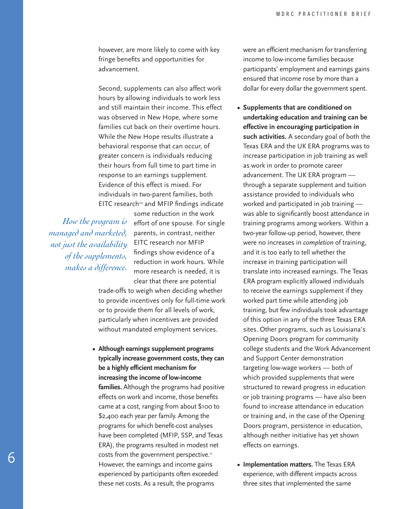however, are more likely to come with key fringe benefits and opportunities for advancement.

Second, supplements can also affect work hours by allowing individuals to work less and still maintain their income. This effect was observed in New Hope, where some families cut back on their overtime hours. While the New Hope results illustrate a behavioral response that can occur, of greater concern is individuals reducing their hours from full time to part time in response to an earnings supplement. Evidence of this effect is mixed. For individuals in two-parent families, both  $E$ ITC research<sup>10</sup> and MFIP findings indicate

*How the program is managed and marketed, not just the availability of the supplements, makes a difference.*

some reduction in the work effort of one spouse. For single parents, in contrast, neither EITC research nor MFIP findings show evidence of a reduction in work hours. While more research is needed, it is clear that there are potential

trade-offs to weigh when deciding whether to provide incentives only for full-time work or to provide them for all levels of work, particularly when incentives are provided without mandated employment services.

**• Although earnings supplement programs typically increase government costs, they can be a highly efficient mechanism for increasing the income of low-income families.** Although the programs had positive effects on work and income, those benefits came at a cost, ranging from about \$100 to \$2,400 each year per family. Among the programs for which benefit-cost analyses have been completed (MFIP, SSP, and Texas ERA), the programs resulted in modest net costs from the government perspective.<sup>11</sup> However, the earnings and income gains experienced by participants often exceeded these net costs. As a result, the programs

were an efficient mechanism for transferring income to low-income families because participants' employment and earnings gains ensured that income rose by more than a dollar for every dollar the government spent.

- **• Supplements that are conditioned on undertaking education and training can be effective in encouraging participation in such activities.** A secondary goal of both the Texas ERA and the UK ERA programs was to increase participation in job training as well as work in order to promote career advancement. The UK ERA program through a separate supplement and tuition assistance provided to individuals who worked and participated in job training was able to significantly boost attendance in training programs among workers. Within a two-year follow-up period, however, there were no increases in *completion* of training, and it is too early to tell whether the increase in training participation will translate into increased earnings. The Texas ERA program explicitly allowed individuals to receive the earnings supplement if they worked part time while attending job training, but few individuals took advantage of this option in any of the three Texas ERA sites. Other programs, such as Louisiana's Opening Doors program for community college students and the Work Advancement and Support Center demonstration targeting low-wage workers — both of which provided supplements that were structured to reward progress in education or job training programs — have also been found to increase attendance in education or training and, in the case of the Opening Doors program, persistence in education, although neither initiative has yet shown effects on earnings.
- **Implementation matters.** The Texas ERA experience, with different impacts across three sites that implemented the same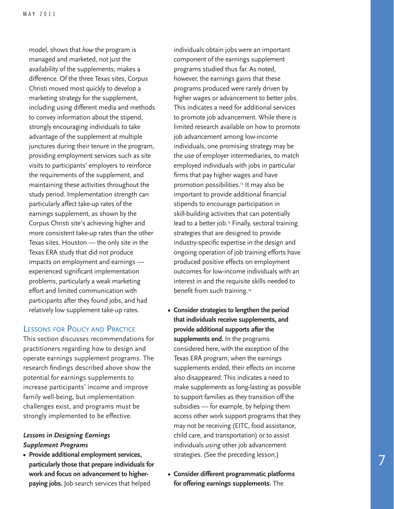model, shows that *how* the program is managed and marketed, not just the availability of the supplements, makes a difference. Of the three Texas sites, Corpus Christi moved most quickly to develop a marketing strategy for the supplement, including using different media and methods to convey information about the stipend, strongly encouraging individuals to take advantage of the supplement at multiple junctures during their tenure in the program, providing employment services such as site visits to participants' employers to reinforce the requirements of the supplement, and maintaining these activities throughout the study period. Implementation strength can particularly affect take-up rates of the earnings supplement, as shown by the Corpus Christi site's achieving higher and more consistent take-up rates than the other Texas sites. Houston — the only site in the Texas ERA study that did not produce impacts on employment and earnings experienced significant implementation problems, particularly a weak marketing effort and limited communication with participants after they found jobs, and had relatively low supplement take-up rates.

### Lessons for Policy and Practice

This section discusses recommendations for practitioners regarding how to design and operate earnings supplement programs. The research findings described above show the potential for earnings supplements to increase participants' income and improve family well-being, but implementation challenges exist, and programs must be strongly implemented to be effective.

#### *Lessons in Designing Earnings Supplement Programs*

**• Provide additional employment services, particularly those that prepare individuals for work and focus on advancement to higherpaying jobs.** Job search services that helped

individuals obtain jobs were an important component of the earnings supplement programs studied thus far. As noted, however, the earnings gains that these programs produced were rarely driven by higher wages or advancement to better jobs. This indicates a need for additional services to promote job advancement. While there is limited research available on how to promote job advancement among low-income individuals, one promising strategy may be the use of employer intermediaries, to match employed individuals with jobs in particular firms that pay higher wages and have promotion possibilities.12 It may also be important to provide additional financial stipends to encourage participation in skill-building activities that can potentially lead to a better job.<sup>13</sup> Finally, sectoral training strategies that are designed to provide industry-specific expertise in the design and ongoing operation of job training efforts have produced positive effects on employment outcomes for low-income individuals with an interest in and the requisite skills needed to benefit from such training.<sup>14</sup>

- **Consider strategies to lengthen the period that individuals receive supplements, and provide additional supports after the supplements end.** In the programs considered here, with the exception of the Texas ERA program, when the earnings supplements ended, their effects on income also disappeared. This indicates a need to make supplements as long-lasting as possible to support families as they transition off the subsidies — for example, by helping them access other work support programs that they may not be receiving (EITC, food assistance, child care, and transportation) or to assist individuals using other job advancement strategies. (See the preceding lesson.)
- **Consider different programmatic platforms for offering earnings supplements.** The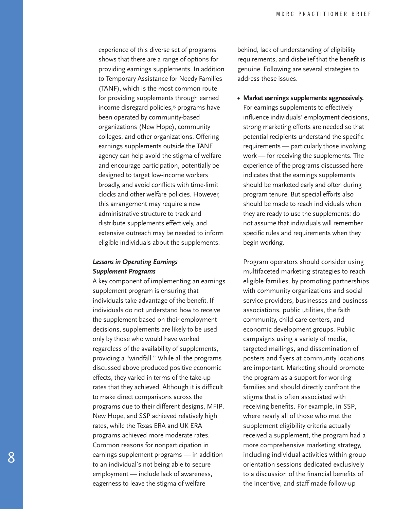experience of this diverse set of programs shows that there are a range of options for providing earnings supplements. In addition to Temporary Assistance for Needy Families (TANF), which is the most common route for providing supplements through earned income disregard policies,<sup>15</sup> programs have been operated by community-based organizations (New Hope), community colleges, and other organizations. Offering earnings supplements outside the TANF agency can help avoid the stigma of welfare and encourage participation, potentially be designed to target low-income workers broadly, and avoid conflicts with time-limit clocks and other welfare policies. However, this arrangement may require a new administrative structure to track and distribute supplements effectively, and extensive outreach may be needed to inform eligible individuals about the supplements.

#### *Lessons in Operating Earnings Supplement Programs*

A key component of implementing an earnings supplement program is ensuring that individuals take advantage of the benefit. If individuals do not understand how to receive the supplement based on their employment decisions, supplements are likely to be used only by those who would have worked regardless of the availability of supplements, providing a "windfall." While all the programs discussed above produced positive economic effects, they varied in terms of the take-up rates that they achieved. Although it is difficult to make direct comparisons across the programs due to their different designs, MFIP, New Hope, and SSP achieved relatively high rates, while the Texas ERA and UK ERA programs achieved more moderate rates. Common reasons for nonparticipation in earnings supplement programs — in addition to an individual's not being able to secure employment — include lack of awareness, eagerness to leave the stigma of welfare

behind, lack of understanding of eligibility requirements, and disbelief that the benefit is genuine. Following are several strategies to address these issues.

**• Market earnings supplements aggressively.** For earnings supplements to effectively influence individuals' employment decisions, strong marketing efforts are needed so that potential recipients understand the specific requirements — particularly those involving work — for receiving the supplements. The experience of the programs discussed here indicates that the earnings supplements should be marketed early and often during program tenure. But special efforts also should be made to reach individuals when they are ready to use the supplements; do not assume that individuals will remember specific rules and requirements when they begin working.

Program operators should consider using multifaceted marketing strategies to reach eligible families, by promoting partnerships with community organizations and social service providers, businesses and business associations, public utilities, the faith community, child care centers, and economic development groups. Public campaigns using a variety of media, targeted mailings, and dissemination of posters and flyers at community locations are important. Marketing should promote the program as a support for working families and should directly confront the stigma that is often associated with receiving benefits. For example, in SSP, where nearly all of those who met the supplement eligibility criteria actually received a supplement, the program had a more comprehensive marketing strategy, including individual activities within group orientation sessions dedicated exclusively to a discussion of the financial benefits of the incentive, and staff made follow-up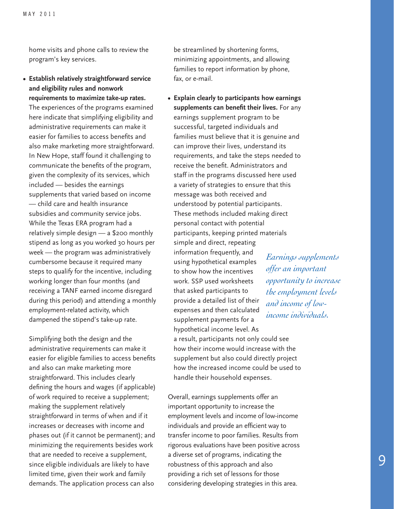home visits and phone calls to review the program's key services.

#### **• Establish relatively straightforward service and eligibility rules and nonwork requirements to maximize take-up rates.**

The experiences of the programs examined here indicate that simplifying eligibility and administrative requirements can make it easier for families to access benefits and also make marketing more straightforward. In New Hope, staff found it challenging to communicate the benefits of the program, given the complexity of its services, which included — besides the earnings supplements that varied based on income — child care and health insurance subsidies and community service jobs. While the Texas ERA program had a relatively simple design — a \$200 monthly stipend as long as you worked 30 hours per week — the program was administratively cumbersome because it required many steps to qualify for the incentive, including working longer than four months (and receiving a TANF earned income disregard during this period) and attending a monthly employment-related activity, which dampened the stipend's take-up rate.

Simplifying both the design and the administrative requirements can make it easier for eligible families to access benefits and also can make marketing more straightforward. This includes clearly defining the hours and wages (if applicable) of work required to receive a supplement; making the supplement relatively straightforward in terms of when and if it increases or decreases with income and phases out (if it cannot be permanent); and minimizing the requirements besides work that are needed to receive a supplement, since eligible individuals are likely to have limited time, given their work and family demands. The application process can also

be streamlined by shortening forms, minimizing appointments, and allowing families to report information by phone, fax, or e-mail.

**• Explain clearly to participants how earnings supplements can benefit their lives.** For any earnings supplement program to be successful, targeted individuals and families must believe that it is genuine and can improve their lives, understand its requirements, and take the steps needed to receive the benefit. Administrators and staff in the programs discussed here used a variety of strategies to ensure that this message was both received and understood by potential participants. These methods included making direct personal contact with potential participants, keeping printed materials simple and direct, repeating information frequently, and using hypothetical examples to show how the incentives work. SSP used worksheets that asked participants to provide a detailed list of their expenses and then calculated supplement payments for a hypothetical income level. As a result, participants not only could see how their income would increase with the supplement but also could directly project how the increased income could be used to handle their household expenses.

Overall, earnings supplements offer an important opportunity to increase the employment levels and income of low-income individuals and provide an efficient way to transfer income to poor families. Results from rigorous evaluations have been positive across a diverse set of programs, indicating the robustness of this approach and also providing a rich set of lessons for those considering developing strategies in this area.

*Earnings supplements offer an important opportunity to increase the employment levels and income of lowincome individuals.*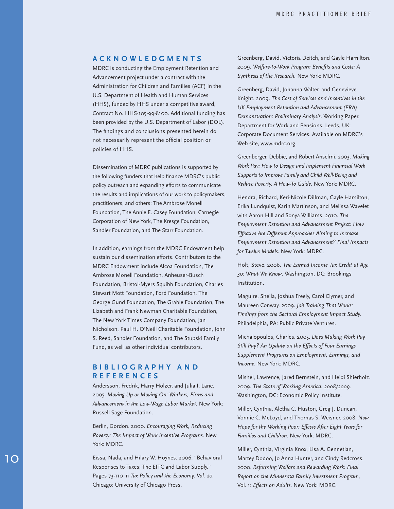#### **AC K NOWLEDGMEN T S**

MDRC is conducting the Employment Retention and Advancement project under a contract with the Administration for Children and Families (ACF) in the U.S. Department of Health and Human Services (HHS), funded by HHS under a competitive award, Contract No. HHS-105-99-8100. Additional funding has been provided by the U.S. Department of Labor (DOL). The findings and conclusions presented herein do not necessarily represent the official position or policies of HHS.

Dissemination of MDRC publications is supported by the following funders that help finance MDRC's public policy outreach and expanding efforts to communicate the results and implications of our work to policymakers, practitioners, and others: The Ambrose Monell Foundation, The Annie E. Casey Foundation, Carnegie Corporation of New York, The Kresge Foundation, Sandler Foundation, and The Starr Foundation.

In addition, earnings from the MDRC Endowment help sustain our dissemination efforts. Contributors to the MDRC Endowment include Alcoa Foundation, The Ambrose Monell Foundation, Anheuser-Busch Foundation, Bristol-Myers Squibb Foundation, Charles Stewart Mott Foundation, Ford Foundation, The George Gund Foundation, The Grable Foundation, The Lizabeth and Frank Newman Charitable Foundation, The New York Times Company Foundation, Jan Nicholson, Paul H. O'Neill Charitable Foundation, John S. Reed, Sandler Foundation, and The Stupski Family Fund, as well as other individual contributors.

#### **B I B LIOGRAPHY AND REFERENCE S**

Andersson, Fredrik, Harry Holzer, and Julia I. Lane. 2005. *Moving Up or Moving On: Workers, Firms and Advancement in the Low-Wage Labor Market.* New York: Russell Sage Foundation.

Berlin, Gordon. 2000. *Encouraging Work, Reducing Poverty: The Impact of Work Incentive Programs.* New York: MDRC.

Eissa, Nada, and Hilary W. Hoynes. 2006. "Behavioral Responses to Taxes: The EITC and Labor Supply." Pages 73-110 in *Tax Policy and the Economy, Vol. 20*. Chicago: University of Chicago Press.

Greenberg, David, Victoria Deitch, and Gayle Hamilton. 2009. *Welfare-to-Work Program Benefits and Costs: A Synthesis of the Research.* New York: MDRC.

Greenberg, David, Johanna Walter, and Genevieve Knight. 2009. *The Cost of Services and Incentives in the UK Employment Retention and Advancement (ERA) Demonstration: Preliminary Analysis*. Working Paper. Department for Work and Pensions. Leeds, UK: Corporate Document Services. Available on MDRC's Web site, www.mdrc.org.

Greenberger, Debbie, and Robert Anselmi. 2003. *Making Work Pay: How to Design and Implement Financial Work Supports to Improve Family and Child Well-Being and Reduce Poverty. A How-To Guide.* New York: MDRC.

Hendra, Richard, Keri-Nicole Dillman, Gayle Hamilton, Erika Lundquist, Karin Martinson, and Melissa Wavelet with Aaron Hill and Sonya Williams. 2010. *The Employment Retention and Advancement Project: How Effective Are Different Approaches Aiming to Increase Employment Retention and Advancement? Final Impacts for Twelve Models.* New York: MDRC.

Holt, Steve. 2006. *The Earned Income Tax Credit at Age 30: What We Know*. Washington, DC: Brookings Institution.

Maguire, Sheila, Joshua Freely, Carol Clymer, and Maureen Conway. 2009*. Job Training That Works: Findings from the Sectoral Employment Impact Study.* Philadelphia, PA: Public Private Ventures.

Michalopoulos, Charles. 2005. *Does Making Work Pay Still Pay? An Update on the Effects of Four Earnings Supplement Programs on Employment, Earnings, and Income.* New York: MDRC.

Mishel, Lawrence, Jared Bernstein, and Heidi Shierholz. 2009. *The State of Working America: 2008/2009.*  Washington, DC: Economic Policy Institute.

Miller, Cynthia, Aletha C. Huston, Greg J. Duncan, Vonnie C. McLoyd, and Thomas S. Weisner. 2008. *New Hope for the Working Poor: Effects After Eight Years for Families and Children.* New York: MDRC.

Miller, Cynthia, Virginia Knox, Lisa A. Gennetian, Martey Dodoo, Jo Anna Hunter, and Cindy Redcross. 2000. *Reforming Welfare and Rewarding Work: Final Report on the Minnesota Family Investment Program,*  Vol. 1: *Effects on Adults*. New York: MDRC.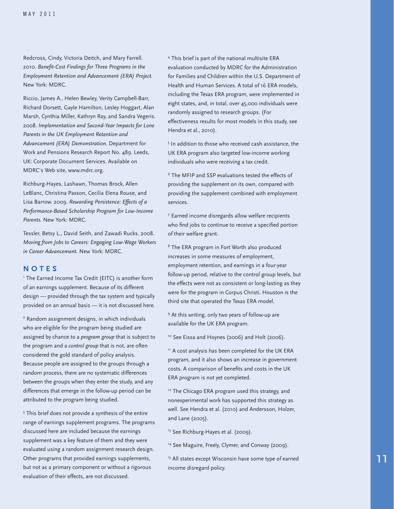Redcross, Cindy, Victoria Deitch, and Mary Farrell. 2010. *Benefit-Cost Findings for Three Programs in the Employment Retention and Advancement (ERA) Project.*  New York: MDRC.

Riccio, James A., Helen Bewley, Verity Campbell-Barr, Richard Dorsett, Gayle Hamilton, Lesley Hoggart, Alan Marsh, Cynthia Miller, Kathryn Ray, and Sandra Vegeris. 2008. *Implementation and Second-Year Impacts for Lone Parents in the UK Employment Retention and Advancement (ERA) Demonstration.* Department for Work and Pensions Research Report No. 489. Leeds, UK: Corporate Document Services. Available on MDRC's Web site, www.mdrc.org.

Richburg-Hayes, Lashawn, Thomas Brock, Allen LeBlanc, Christina Paxson, Cecilia Elena Rouse, and Lisa Barrow. 2009. *Rewarding Persistence: Effects of a Performance-Based Scholarship Program for Low-Income Parents.* New York: MDRC.

Tessler, Betsy L., David Seith, and Zawadi Rucks. 2008. *Moving from Jobs to Careers: Engaging Low-Wage Workers in Career Advancement.* New York: MDRC.

#### **NO T E S**

<sup>1</sup> The Earned Income Tax Credit (EITC) is another form of an earnings supplement. Because of its different design — provided through the tax system and typically provided on an annual basis — it is not discussed here.

<sup>2</sup> Random assignment designs, in which individuals who are eligible for the program being studied are assigned by chance to a *program group* that is subject to the program and a *control group* that is not, are often considered the gold standard of policy analysis. Because people are assigned to the groups through a random process, there are no systematic differences between the groups when they enter the study, and any differences that emerge in the follow-up period can be attributed to the program being studied.

<sup>3</sup> This brief does not provide a synthesis of the entire range of earnings supplement programs. The programs discussed here are included because the earnings supplement was a key feature of them and they were evaluated using a random assignment research design. Other programs that provided earnings supplements, but not as a primary component or without a rigorous evaluation of their effects, are not discussed.

<sup>4</sup> This brief is part of the national multisite ERA evaluation conducted by MDRC for the Administration for Families and Children within the U.S. Department of Health and Human Services. A total of 16 ERA models, including the Texas ERA program, were implemented in eight states, and, in total, over 45,000 individuals were randomly assigned to research groups. (For effectiveness results for most models in this study, see Hendra et al., 2010).

<sup>5</sup> In addition to those who received cash assistance, the UK ERA program also targeted low-income working individuals who were receiving a tax credit.

<sup>6</sup> The MFIP and SSP evaluations tested the effects of providing the supplement on its own, compared with providing the supplement combined with employment services.

<sup>7</sup> Earned income disregards allow welfare recipients who find jobs to continue to receive a specified portion of their welfare grant.

<sup>8</sup> The ERA program in Fort Worth also produced increases in some measures of employment, employment retention, and earnings in a four-year follow-up period, relative to the control group levels, but the effects were not as consistent or long-lasting as they were for the program in Corpus Christi. Houston is the third site that operated the Texas ERA model.

<sup>9</sup> At this writing, only two years of follow-up are available for the UK ERA program.

<sup>10</sup> See Eissa and Hoynes (2006) and Holt (2006).

<sup>11</sup> A cost analysis has been completed for the UK ERA program, and it also shows an increase in government costs. A comparison of benefits and costs in the UK ERA program is not yet completed.

<sup>12</sup> The Chicago ERA program used this strategy, and nonexperimental work has supported this strategy as well. See Hendra et al. (2010) and Andersson, Holzer, and Lane (2005).

<sup>13</sup> See Richburg-Hayes et al. (2009).

<sup>14</sup> See Maguire, Freely, Clymer, and Conway (2009).

<sup>15</sup> All states except Wisconsin have some type of earned income disregard policy.